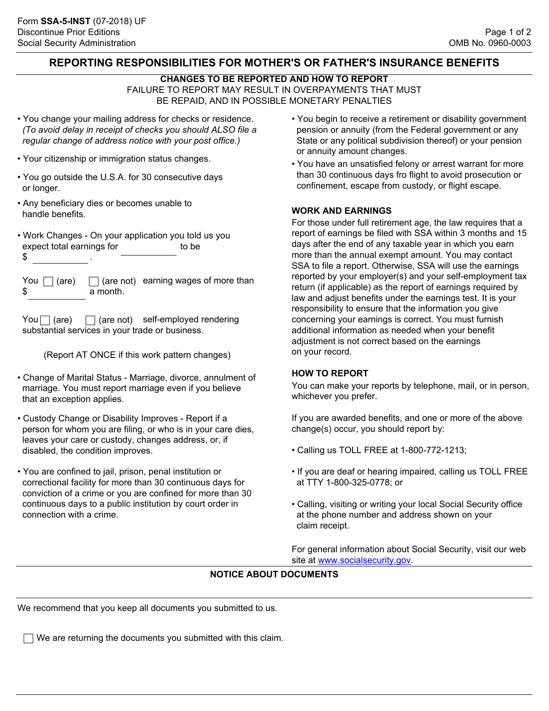## **REPORTING RESPONSIBILITIES FOR MOTHER'S OR FATHER'S INSURANCE BENEFITS**

### **CHANGES TO BE REPORTED AND HOW TO REPORT**

FAILURE TO REPORT MAY RESULT IN OVERPAYMENTS THAT MUST BE REPAID, AND IN POSSIBLE MONETARY PENALTIES

- You change your mailing address for checks or residence. *(To avoid delay in receipt of checks you should ALSO file a regular change of address notice with your post office.)*
- Your citizenship or immigration status changes.
- You go outside the U.S.A. for 30 consecutive days or longer.
- Any beneficiary dies or becomes unable to handle benefits.
- Work Changes On your application you told us you expect total earnings for to be  $\updownarrow$

| You $\Box$ (are) $\Box$ (are not) earr |          |  |
|----------------------------------------|----------|--|
| - \$                                   | a month. |  |

ing wages of more than

 $\text{You}$  (are)  $\Box$  (are not) self-employed rendering substantial services in your trade or business.

(Report AT ONCE if this work pattern changes)

- Change of Marital Status Marriage, divorce, annulment of marriage. You must report marriage even if you believe that an exception applies.
- Custody Change or Disability Improves Report if a person for whom you are filing, or who is in your care dies, leaves your care or custody, changes address, or, if disabled, the condition improves.
- You are confined to jail, prison, penal institution or correctional facility for more than 30 continuous days for conviction of a crime or you are confined for more than 30 continuous days to a public institution by court order in connection with a crime.
- You begin to receive a retirement or disability government pension or annuity (from the Federal government or any State or any political subdivision thereof) or your pension or annuity amount changes.
- You have an unsatisfied felony or arrest warrant for more than 30 continuous days fro flight to avoid prosecution or confinement, escape from custody, or flight escape.

### **WORK AND EARNINGS**

For those under full retirement age, the law requires that a report of earnings be filed with SSA within 3 months and 15 days after the end of any taxable year in which you earn more than the annual exempt amount. You may contact SSA to file a report. Otherwise, SSA will use the earnings reported by your employer(s) and your self-employment tax return (if applicable) as the report of earnings required by law and adjust benefits under the earnings test. It is your responsibility to ensure that the information you give concerning your earnings is correct. You must furnish additional information as needed when your benefit adjustment is not correct based on the earnings on your record.

#### **HOW TO REPORT**

You can make your reports by telephone, mail, or in person, whichever you prefer.

If you are awarded benefits, and one or more of the above change(s) occur, you should report by:

- Calling us TOLL FREE at 1-800-772-1213;
- If you are deaf or hearing impaired, calling us TOLL FREE at TTY 1-800-325-0778; or
- Calling, visiting or writing your local Social Security office at the phone number and address shown on your claim receipt.

For general information about Social Security, visit our web site at <www.socialsecurity.gov>.

# **NOTICE ABOUT DOCUMENTS**

We recommend that you keep all documents you submitted to us.

 $\Box$  We are returning the documents you submitted with this claim.